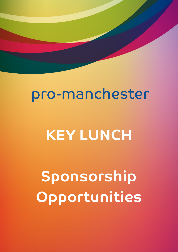## pro-manchester

# **KEY LUNCH**

**Sponsorship Opportunities**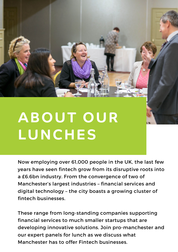## **ABOUT OUR LUNCHES**

Now employing over 61,000 people in the UK, the last few years have seen fintech grow from its disruptive roots into a £6.6bn industry. From the convergence of two of Manchester's largest industries – financial services and digital technology – the city boasts a growing cluster of fintech businesses.

These range from long-standing companies supporting financial services to much smaller startups that are developing innovative solutions. Join pro-manchester and our expert panels for lunch as we discuss what Manchester has to offer Fintech businesses.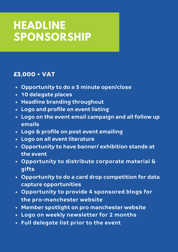### **HEADLINE SPONSORSHIP**

#### **£3,000 + VAT**

- **Opportunity to do a 5 minute open/close**
- **10 delegate places**
- **Headline branding throughout**
- **Logo and profile on event listing**
- **Logo on the event email campaign and all follow up emails**
- **Logo & profile on post event emailing**
- **Logo on all event literature**
- **Opportunity to have banner/ exhibition stands at the event**
- **Opportunity to distribute corporate material & gifts**
- **Opportunity to do a card drop competition for data capture opportunities**
- **Opportunity to provide 4 sponsored blogs for the pro-manchester website**
- **Member spotlight on pro manchester website**
- **Logo on weekly newsletter for 2 months**
- **Full delegate list prior to the event**